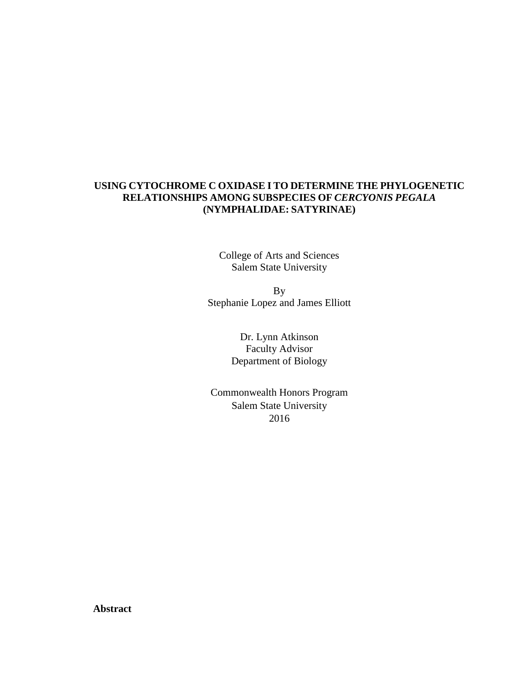# **USING CYTOCHROME C OXIDASE I TO DETERMINE THE PHYLOGENETIC RELATIONSHIPS AMONG SUBSPECIES OF** *CERCYONIS PEGALA* **(NYMPHALIDAE: SATYRINAE)**

College of Arts and Sciences Salem State University

By Stephanie Lopez and James Elliott

> Dr. Lynn Atkinson Faculty Advisor Department of Biology

Commonwealth Honors Program Salem State University 2016

**Abstract**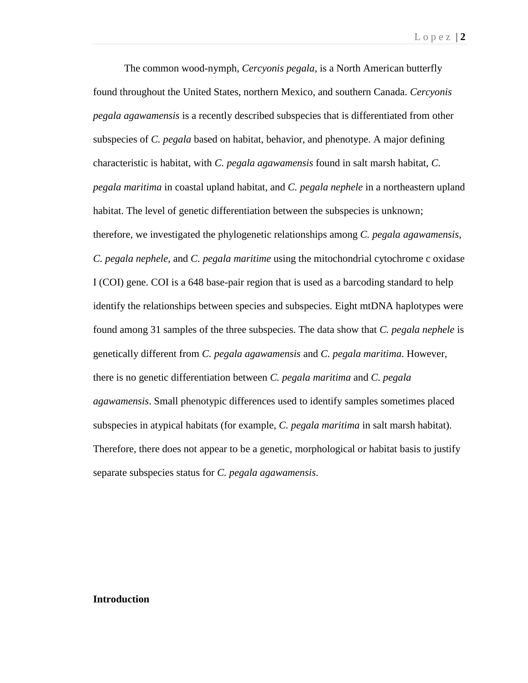The common wood-nymph, *Cercyonis pegala*, is a North American butterfly found throughout the United States, northern Mexico, and southern Canada. *Cercyonis pegala agawamensis* is a recently described subspecies that is differentiated from other subspecies of *C. pegala* based on habitat, behavior, and phenotype. A major defining characteristic is habitat, with *C. pegala agawamensis* found in salt marsh habitat, *C. pegala maritima* in coastal upland habitat, and *C. pegala nephele* in a northeastern upland habitat. The level of genetic differentiation between the subspecies is unknown; therefore, we investigated the phylogenetic relationships among *C. pegala agawamensis*, *C. pegala nephele*, and *C. pegala maritime* using the mitochondrial cytochrome c oxidase I (COI) gene. COI is a 648 base-pair region that is used as a barcoding standard to help identify the relationships between species and subspecies. Eight mtDNA haplotypes were found among 31 samples of the three subspecies. The data show that *C. pegala nephele* is genetically different from *C. pegala agawamensis* and *C. pegala maritima*. However, there is no genetic differentiation between *C. pegala maritima* and *C. pegala agawamensis*. Small phenotypic differences used to identify samples sometimes placed subspecies in atypical habitats (for example, *C. pegala maritima* in salt marsh habitat). Therefore, there does not appear to be a genetic, morphological or habitat basis to justify separate subspecies status for *C. pegala agawamensis*.

### **Introduction**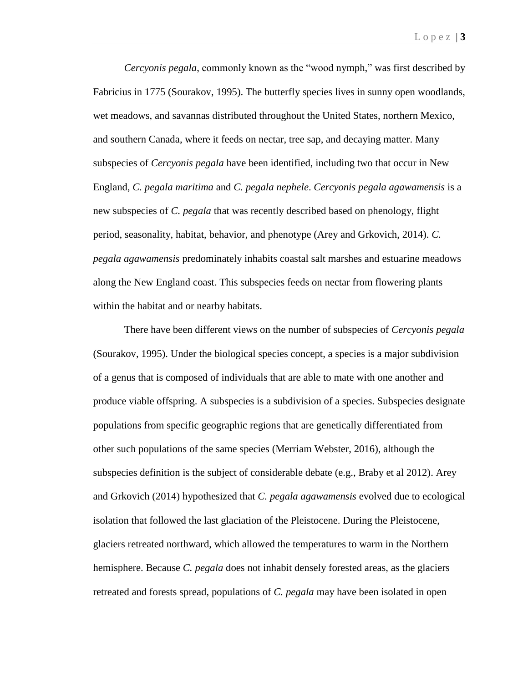*Cercyonis pegala*, commonly known as the "wood nymph," was first described by Fabricius in 1775 (Sourakov, 1995). The butterfly species lives in sunny open woodlands, wet meadows, and savannas distributed throughout the United States, northern Mexico, and southern Canada, where it feeds on nectar, tree sap, and decaying matter. Many subspecies of *Cercyonis pegala* have been identified, including two that occur in New England, *C. pegala maritima* and *C. pegala nephele*. *Cercyonis pegala agawamensis* is a new subspecies of *C. pegala* that was recently described based on phenology, flight period, seasonality, habitat, behavior, and phenotype (Arey and Grkovich, 2014). *C. pegala agawamensis* predominately inhabits coastal salt marshes and estuarine meadows along the New England coast. This subspecies feeds on nectar from flowering plants within the habitat and or nearby habitats.

There have been different views on the number of subspecies of *Cercyonis pegala* (Sourakov, 1995). Under the biological species concept, a species is a major subdivision of a genus that is composed of individuals that are able to mate with one another and produce viable offspring. A subspecies is a subdivision of a species. Subspecies designate populations from specific geographic regions that are genetically differentiated from other such populations of the same species (Merriam Webster, 2016), although the subspecies definition is the subject of considerable debate (e.g., Braby et al 2012). Arey and Grkovich (2014) hypothesized that *C. pegala agawamensis* evolved due to ecological isolation that followed the last glaciation of the Pleistocene. During the Pleistocene, glaciers retreated northward, which allowed the temperatures to warm in the Northern hemisphere. Because *C. pegala* does not inhabit densely forested areas, as the glaciers retreated and forests spread, populations of *C. pegala* may have been isolated in open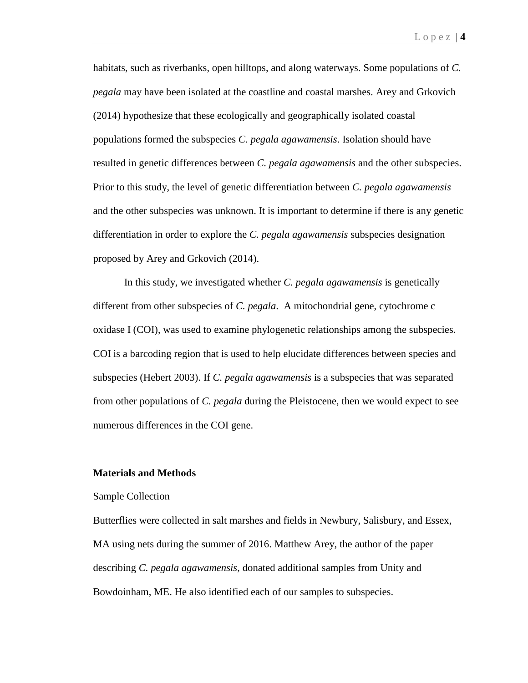habitats, such as riverbanks, open hilltops, and along waterways. Some populations of *C. pegala* may have been isolated at the coastline and coastal marshes. Arey and Grkovich (2014) hypothesize that these ecologically and geographically isolated coastal populations formed the subspecies *C. pegala agawamensis*. Isolation should have resulted in genetic differences between *C. pegala agawamensis* and the other subspecies. Prior to this study, the level of genetic differentiation between *C. pegala agawamensis* and the other subspecies was unknown. It is important to determine if there is any genetic differentiation in order to explore the *C. pegala agawamensis* subspecies designation proposed by Arey and Grkovich (2014).

In this study, we investigated whether *C. pegala agawamensis* is genetically different from other subspecies of *C. pegala*. A mitochondrial gene, cytochrome c oxidase I (COI), was used to examine phylogenetic relationships among the subspecies. COI is a barcoding region that is used to help elucidate differences between species and subspecies (Hebert 2003). If *C. pegala agawamensis* is a subspecies that was separated from other populations of *C. pegala* during the Pleistocene, then we would expect to see numerous differences in the COI gene.

#### **Materials and Methods**

#### Sample Collection

Butterflies were collected in salt marshes and fields in Newbury, Salisbury, and Essex, MA using nets during the summer of 2016. Matthew Arey, the author of the paper describing *C. pegala agawamensis*, donated additional samples from Unity and Bowdoinham, ME. He also identified each of our samples to subspecies.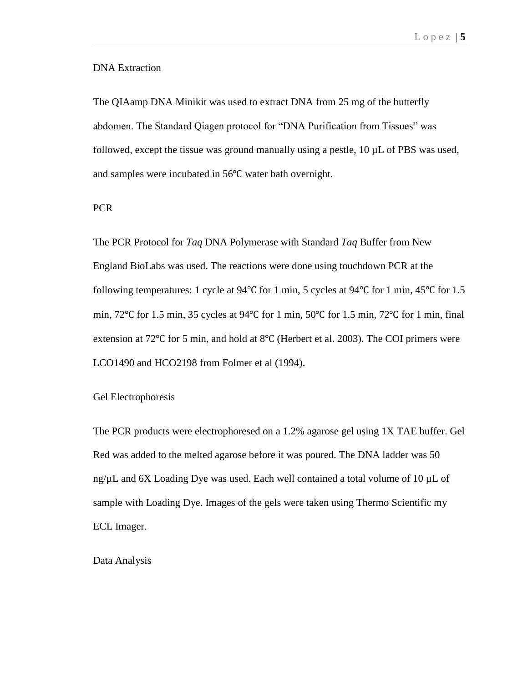# DNA Extraction

The QIAamp DNA Minikit was used to extract DNA from 25 mg of the butterfly abdomen. The Standard Qiagen protocol for "DNA Purification from Tissues" was followed, except the tissue was ground manually using a pestle,  $10 \mu L$  of PBS was used, and samples were incubated in 56℃ water bath overnight.

### PCR

The PCR Protocol for *Taq* DNA Polymerase with Standard *Taq* Buffer from New England BioLabs was used. The reactions were done using touchdown PCR at the following temperatures: 1 cycle at 94℃ for 1 min, 5 cycles at 94℃ for 1 min, 45℃ for 1.5 min, 72℃ for 1.5 min, 35 cycles at 94℃ for 1 min, 50℃ for 1.5 min, 72℃ for 1 min, final extension at 72℃ for 5 min, and hold at 8℃ (Herbert et al. 2003). The COI primers were LCO1490 and HCO2198 from Folmer et al (1994).

Gel Electrophoresis

The PCR products were electrophoresed on a 1.2% agarose gel using 1X TAE buffer. Gel Red was added to the melted agarose before it was poured. The DNA ladder was 50 ng/ $\mu$ L and 6X Loading Dye was used. Each well contained a total volume of 10  $\mu$ L of sample with Loading Dye. Images of the gels were taken using Thermo Scientific my ECL Imager.

Data Analysis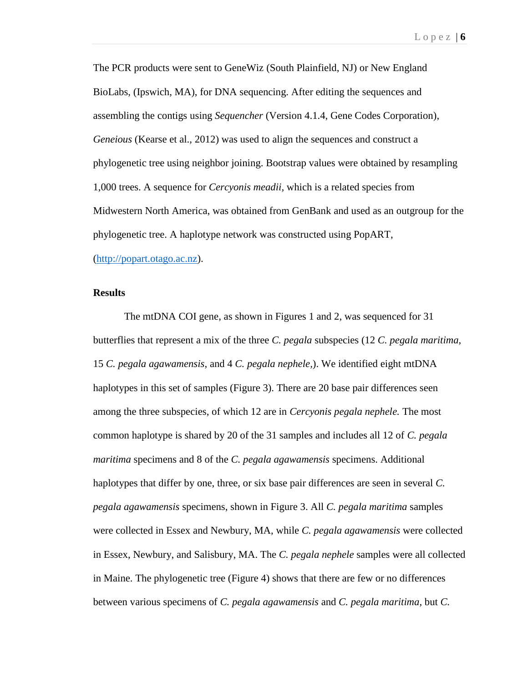The PCR products were sent to GeneWiz (South Plainfield, NJ) or New England BioLabs, (Ipswich, MA), for DNA sequencing. After editing the sequences and assembling the contigs using *Sequencher* (Version 4.1.4, Gene Codes Corporation), *Geneious* (Kearse et al., 2012) was used to align the sequences and construct a phylogenetic tree using neighbor joining. Bootstrap values were obtained by resampling 1,000 trees. A sequence for *Cercyonis meadii,* which is a related species from Midwestern North America, was obtained from GenBank and used as an outgroup for the phylogenetic tree. A haplotype network was constructed using PopART, [\(http://popart.otago.ac.nz\)](http://popart.otago.ac.nz/).

### **Results**

The mtDNA COI gene, as shown in Figures 1 and 2, was sequenced for 31 butterflies that represent a mix of the three *C. pegala* subspecies (12 *C. pegala maritima*, 15 *C. pegala agawamensis*, and 4 *C. pegala nephele,*). We identified eight mtDNA haplotypes in this set of samples (Figure 3). There are 20 base pair differences seen among the three subspecies, of which 12 are in *Cercyonis pegala nephele.* The most common haplotype is shared by 20 of the 31 samples and includes all 12 of *C. pegala maritima* specimens and 8 of the *C. pegala agawamensis* specimens. Additional haplotypes that differ by one, three, or six base pair differences are seen in several *C. pegala agawamensis* specimens, shown in Figure 3. All *C. pegala maritima* samples were collected in Essex and Newbury, MA, while *C. pegala agawamensis* were collected in Essex, Newbury, and Salisbury, MA. The *C. pegala nephele* samples were all collected in Maine. The phylogenetic tree (Figure 4) shows that there are few or no differences between various specimens of *C. pegala agawamensis* and *C. pegala maritima,* but *C.*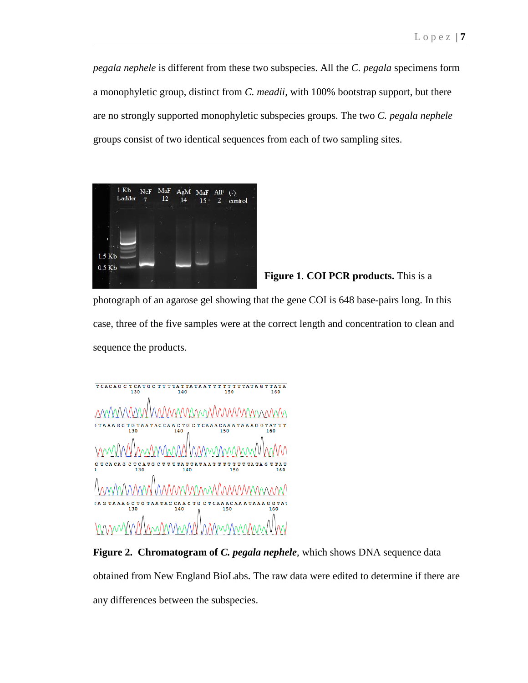*pegala nephele* is different from these two subspecies. All the *C. pegala* specimens form a monophyletic group, distinct from *C. meadii,* with 100% bootstrap support, but there are no strongly supported monophyletic subspecies groups. The two *C. pegala nephele* groups consist of two identical sequences from each of two sampling sites.



**Figure 1**. **COI PCR products.** This is a

photograph of an agarose gel showing that the gene COI is 648 base-pairs long. In this case, three of the five samples were at the correct length and concentration to clean and sequence the products.

 $\begin{array}{ccccccccccccccccc} \texttt{TCACAG C TCA T G C T T T T T A T T A T T T T T T T T T T T A T A G T T A T A \\ 130 & 140 & 150 & 160 \end{array}$ MMMMMMMMMMMMMM *MAN* G T  $\mathbf{c}$ mm hmmmnn INMWWWM

**Figure 2. Chromatogram of** *C. pegala nephele*, which shows DNA sequence data obtained from New England BioLabs. The raw data were edited to determine if there are any differences between the subspecies.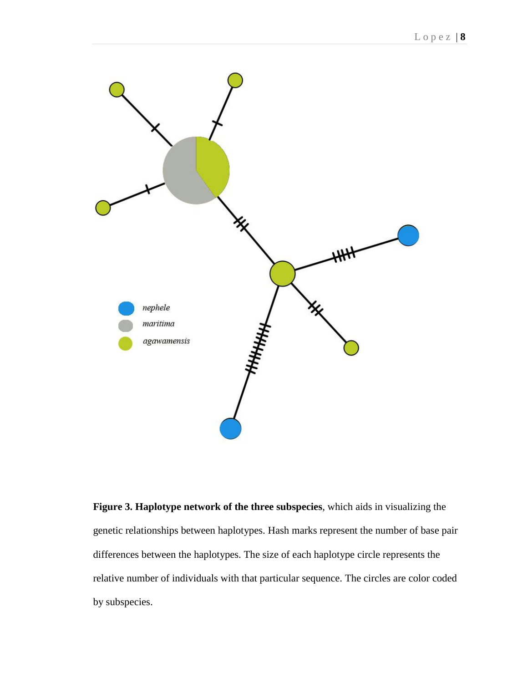

**Figure 3. Haplotype network of the three subspecies**, which aids in visualizing the genetic relationships between haplotypes. Hash marks represent the number of base pair differences between the haplotypes. The size of each haplotype circle represents the relative number of individuals with that particular sequence. The circles are color coded by subspecies.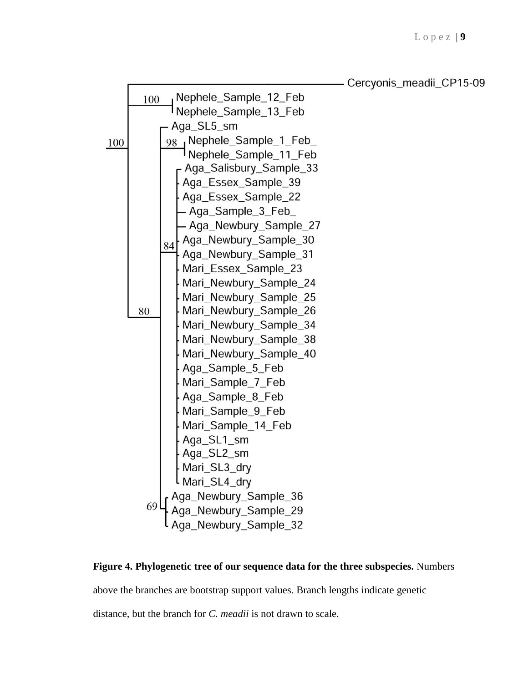

**Figure 4. Phylogenetic tree of our sequence data for the three subspecies.** Numbers

above the branches are bootstrap support values. Branch lengths indicate genetic

distance, but the branch for *C. meadii* is not drawn to scale.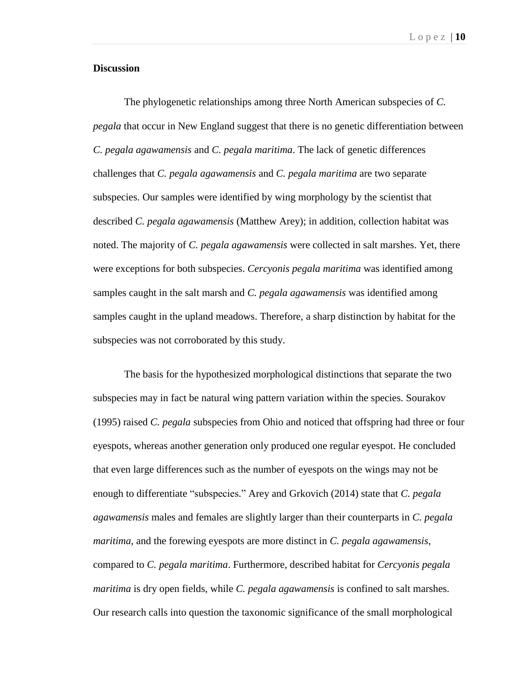### **Discussion**

The phylogenetic relationships among three North American subspecies of *C. pegala* that occur in New England suggest that there is no genetic differentiation between *C. pegala agawamensis* and *C. pegala maritima*. The lack of genetic differences challenges that *C. pegala agawamensis* and *C. pegala maritima* are two separate subspecies. Our samples were identified by wing morphology by the scientist that described *C. pegala agawamensis* (Matthew Arey); in addition, collection habitat was noted. The majority of *C. pegala agawamensis* were collected in salt marshes. Yet, there were exceptions for both subspecies. *Cercyonis pegala maritima* was identified among samples caught in the salt marsh and *C. pegala agawamensis* was identified among samples caught in the upland meadows. Therefore, a sharp distinction by habitat for the subspecies was not corroborated by this study.

The basis for the hypothesized morphological distinctions that separate the two subspecies may in fact be natural wing pattern variation within the species. Sourakov (1995) raised *C. pegala* subspecies from Ohio and noticed that offspring had three or four eyespots, whereas another generation only produced one regular eyespot. He concluded that even large differences such as the number of eyespots on the wings may not be enough to differentiate "subspecies." Arey and Grkovich (2014) state that *C. pegala agawamensis* males and females are slightly larger than their counterparts in *C. pegala maritima*, and the forewing eyespots are more distinct in *C. pegala agawamensis*, compared to *C. pegala maritima*. Furthermore, described habitat for *Cercyonis pegala maritima* is dry open fields, while *C. pegala agawamensis* is confined to salt marshes. Our research calls into question the taxonomic significance of the small morphological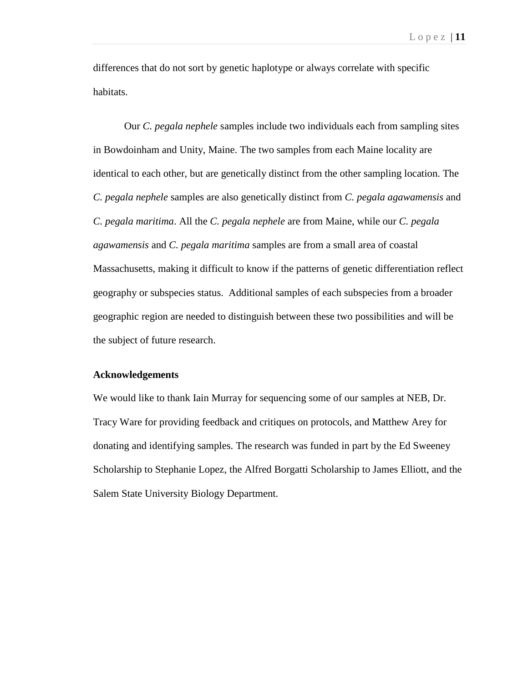differences that do not sort by genetic haplotype or always correlate with specific habitats.

Our *C. pegala nephele* samples include two individuals each from sampling sites in Bowdoinham and Unity, Maine. The two samples from each Maine locality are identical to each other, but are genetically distinct from the other sampling location. The *C. pegala nephele* samples are also genetically distinct from *C. pegala agawamensis* and *C. pegala maritima*. All the *C. pegala nephele* are from Maine, while our *C. pegala agawamensis* and *C. pegala maritima* samples are from a small area of coastal Massachusetts, making it difficult to know if the patterns of genetic differentiation reflect geography or subspecies status. Additional samples of each subspecies from a broader geographic region are needed to distinguish between these two possibilities and will be the subject of future research.

## **Acknowledgements**

We would like to thank Iain Murray for sequencing some of our samples at NEB, Dr. Tracy Ware for providing feedback and critiques on protocols, and Matthew Arey for donating and identifying samples. The research was funded in part by the Ed Sweeney Scholarship to Stephanie Lopez, the Alfred Borgatti Scholarship to James Elliott, and the Salem State University Biology Department.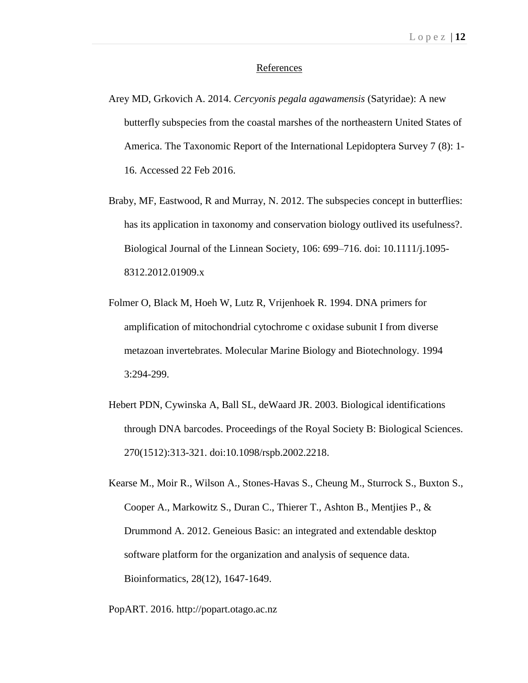#### References

- Arey MD, Grkovich A. 2014. *Cercyonis pegala agawamensis* (Satyridae): A new butterfly subspecies from the coastal marshes of the northeastern United States of America. The Taxonomic Report of the International Lepidoptera Survey 7 (8): 1- 16. Accessed 22 Feb 2016.
- Braby, MF, Eastwood, R and Murray, N. 2012. The subspecies concept in butterflies: has its application in taxonomy and conservation biology outlived its usefulness?. Biological Journal of the Linnean Society, 106: 699–716. doi: 10.1111/j.1095- 8312.2012.01909.x
- Folmer O, Black M, Hoeh W, Lutz R, Vrijenhoek R. 1994. DNA primers for amplification of mitochondrial cytochrome c oxidase subunit I from diverse metazoan invertebrates. Molecular Marine Biology and Biotechnology. 1994 3:294-299.
- Hebert PDN, Cywinska A, Ball SL, deWaard JR. 2003. Biological identifications through DNA barcodes. Proceedings of the Royal Society B: Biological Sciences. 270(1512):313-321. doi:10.1098/rspb.2002.2218.
- Kearse M., Moir R., Wilson A., Stones-Havas S., Cheung M., Sturrock S., Buxton S., Cooper A., Markowitz S., Duran C., Thierer T., Ashton B., Mentjies P., & Drummond A. 2012. Geneious Basic: an integrated and extendable desktop software platform for the organization and analysis of sequence data. Bioinformatics, 28(12), 1647-1649.

PopART. 2016. http://popart.otago.ac.nz